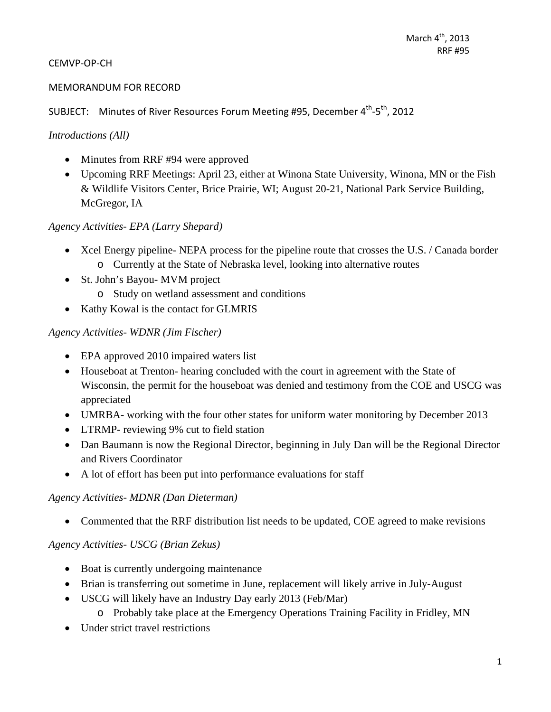#### CEMVP‐OP‐CH

#### MEMORANDUM FOR RECORD

SUBJECT: Minutes of River Resources Forum Meeting #95, December  $4^{th}$ - $5^{th}$ , 2012

#### *Introductions (All)*

- Minutes from RRF #94 were approved
- Upcoming RRF Meetings: April 23, either at Winona State University, Winona, MN or the Fish & Wildlife Visitors Center, Brice Prairie, WI; August 20-21, National Park Service Building, McGregor, IA

#### *Agency Activities- EPA (Larry Shepard)*

- Xcel Energy pipeline- NEPA process for the pipeline route that crosses the U.S. / Canada border o Currently at the State of Nebraska level, looking into alternative routes
- St. John's Bayou- MVM project o Study on wetland assessment and conditions
- Kathy Kowal is the contact for GLMRIS

#### *Agency Activities- WDNR (Jim Fischer)*

- EPA approved 2010 impaired waters list
- Houseboat at Trenton- hearing concluded with the court in agreement with the State of Wisconsin, the permit for the houseboat was denied and testimony from the COE and USCG was appreciated
- UMRBA- working with the four other states for uniform water monitoring by December 2013
- LTRMP- reviewing 9% cut to field station
- Dan Baumann is now the Regional Director, beginning in July Dan will be the Regional Director and Rivers Coordinator
- A lot of effort has been put into performance evaluations for staff

#### *Agency Activities- MDNR (Dan Dieterman)*

• Commented that the RRF distribution list needs to be updated, COE agreed to make revisions

### *Agency Activities- USCG (Brian Zekus)*

- Boat is currently undergoing maintenance
- Brian is transferring out sometime in June, replacement will likely arrive in July-August
- USCG will likely have an Industry Day early 2013 (Feb/Mar)
	- o Probably take place at the Emergency Operations Training Facility in Fridley, MN
- Under strict travel restrictions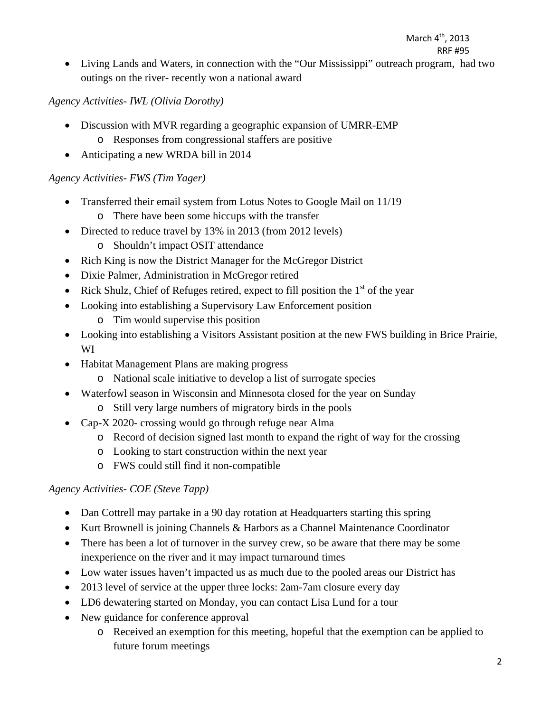Living Lands and Waters, in connection with the "Our Mississippi" outreach program, had two outings on the river- recently won a national award

## *Agency Activities- IWL (Olivia Dorothy)*

- Discussion with MVR regarding a geographic expansion of UMRR-EMP
	- o Responses from congressional staffers are positive
- Anticipating a new WRDA bill in 2014

### *Agency Activities- FWS (Tim Yager)*

- Transferred their email system from Lotus Notes to Google Mail on 11/19
	- o There have been some hiccups with the transfer
- Directed to reduce travel by 13% in 2013 (from 2012 levels)
	- o Shouldn't impact OSIT attendance
- Rich King is now the District Manager for the McGregor District
- Dixie Palmer, Administration in McGregor retired
- Rick Shulz, Chief of Refuges retired, expect to fill position the  $1<sup>st</sup>$  of the year
- Looking into establishing a Supervisory Law Enforcement position
	- o Tim would supervise this position
- Looking into establishing a Visitors Assistant position at the new FWS building in Brice Prairie, WI
- Habitat Management Plans are making progress
	- o National scale initiative to develop a list of surrogate species
- Waterfowl season in Wisconsin and Minnesota closed for the year on Sunday
	- o Still very large numbers of migratory birds in the pools
- Cap-X 2020- crossing would go through refuge near Alma
	- o Record of decision signed last month to expand the right of way for the crossing
	- o Looking to start construction within the next year
	- o FWS could still find it non-compatible

### *Agency Activities- COE (Steve Tapp)*

- Dan Cottrell may partake in a 90 day rotation at Headquarters starting this spring
- Kurt Brownell is joining Channels & Harbors as a Channel Maintenance Coordinator
- There has been a lot of turnover in the survey crew, so be aware that there may be some inexperience on the river and it may impact turnaround times
- Low water issues haven't impacted us as much due to the pooled areas our District has
- 2013 level of service at the upper three locks: 2am-7am closure every day
- LD6 dewatering started on Monday, you can contact Lisa Lund for a tour
- New guidance for conference approval
	- o Received an exemption for this meeting, hopeful that the exemption can be applied to future forum meetings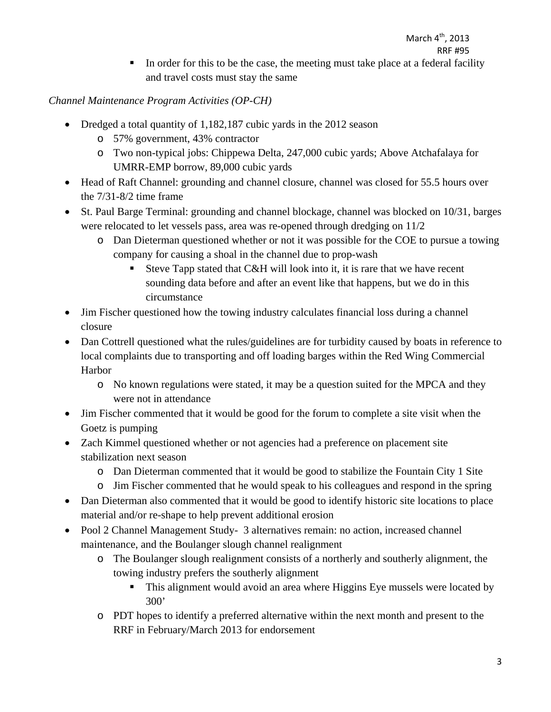In order for this to be the case, the meeting must take place at a federal facility and travel costs must stay the same

## *Channel Maintenance Program Activities (OP-CH)*

- Dredged a total quantity of 1,182,187 cubic yards in the 2012 season
	- o 57% government, 43% contractor
	- o Two non-typical jobs: Chippewa Delta, 247,000 cubic yards; Above Atchafalaya for UMRR-EMP borrow, 89,000 cubic yards
- Head of Raft Channel: grounding and channel closure, channel was closed for 55.5 hours over the 7/31-8/2 time frame
- St. Paul Barge Terminal: grounding and channel blockage, channel was blocked on 10/31, barges were relocated to let vessels pass, area was re-opened through dredging on 11/2
	- o Dan Dieterman questioned whether or not it was possible for the COE to pursue a towing company for causing a shoal in the channel due to prop-wash
		- Steve Tapp stated that C&H will look into it, it is rare that we have recent sounding data before and after an event like that happens, but we do in this circumstance
- Jim Fischer questioned how the towing industry calculates financial loss during a channel closure
- Dan Cottrell questioned what the rules/guidelines are for turbidity caused by boats in reference to local complaints due to transporting and off loading barges within the Red Wing Commercial Harbor
	- o No known regulations were stated, it may be a question suited for the MPCA and they were not in attendance
- Jim Fischer commented that it would be good for the forum to complete a site visit when the Goetz is pumping
- Zach Kimmel questioned whether or not agencies had a preference on placement site stabilization next season
	- o Dan Dieterman commented that it would be good to stabilize the Fountain City 1 Site
	- o Jim Fischer commented that he would speak to his colleagues and respond in the spring
- Dan Dieterman also commented that it would be good to identify historic site locations to place material and/or re-shape to help prevent additional erosion
- Pool 2 Channel Management Study- 3 alternatives remain: no action, increased channel maintenance, and the Boulanger slough channel realignment
	- o The Boulanger slough realignment consists of a northerly and southerly alignment, the towing industry prefers the southerly alignment
		- This alignment would avoid an area where Higgins Eye mussels were located by 300'
	- o PDT hopes to identify a preferred alternative within the next month and present to the RRF in February/March 2013 for endorsement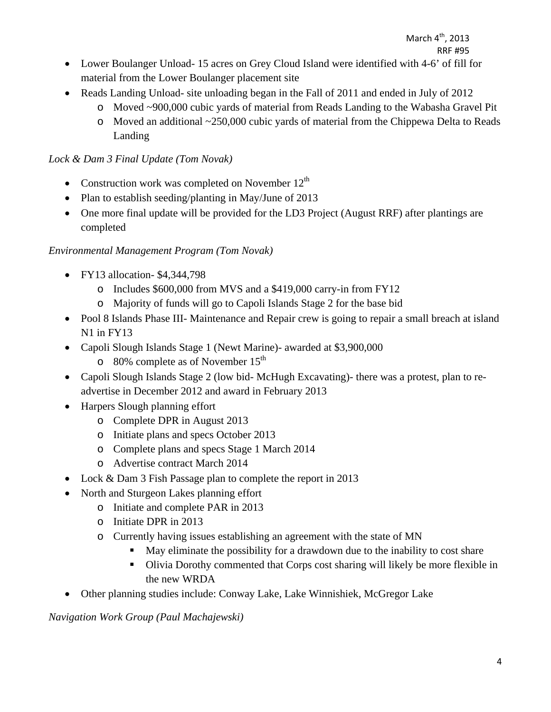- Lower Boulanger Unload- 15 acres on Grey Cloud Island were identified with 4-6' of fill for material from the Lower Boulanger placement site
- Reads Landing Unload- site unloading began in the Fall of 2011 and ended in July of 2012
	- o Moved ~900,000 cubic yards of material from Reads Landing to the Wabasha Gravel Pit
	- o Moved an additional ~250,000 cubic yards of material from the Chippewa Delta to Reads Landing

## *Lock & Dam 3 Final Update (Tom Novak)*

- Construction work was completed on November  $12<sup>th</sup>$
- Plan to establish seeding/planting in May/June of 2013
- One more final update will be provided for the LD3 Project (August RRF) after plantings are completed

## *Environmental Management Program (Tom Novak)*

- FY13 allocation- \$4,344,798
	- o Includes \$600,000 from MVS and a \$419,000 carry-in from FY12
	- o Majority of funds will go to Capoli Islands Stage 2 for the base bid
- Pool 8 Islands Phase III- Maintenance and Repair crew is going to repair a small breach at island N1 in FY13
- Capoli Slough Islands Stage 1 (Newt Marine)- awarded at \$3,900,000
	- $\circ$  80% complete as of November 15<sup>th</sup>
- Capoli Slough Islands Stage 2 (low bid- McHugh Excavating)- there was a protest, plan to readvertise in December 2012 and award in February 2013
- Harpers Slough planning effort
	- o Complete DPR in August 2013
	- o Initiate plans and specs October 2013
	- o Complete plans and specs Stage 1 March 2014
	- o Advertise contract March 2014
- Lock & Dam 3 Fish Passage plan to complete the report in 2013
- North and Sturgeon Lakes planning effort
	- o Initiate and complete PAR in 2013
	- o Initiate DPR in 2013
	- o Currently having issues establishing an agreement with the state of MN
		- May eliminate the possibility for a drawdown due to the inability to cost share
		- Olivia Dorothy commented that Corps cost sharing will likely be more flexible in the new WRDA
- Other planning studies include: Conway Lake, Lake Winnishiek, McGregor Lake

*Navigation Work Group (Paul Machajewski)*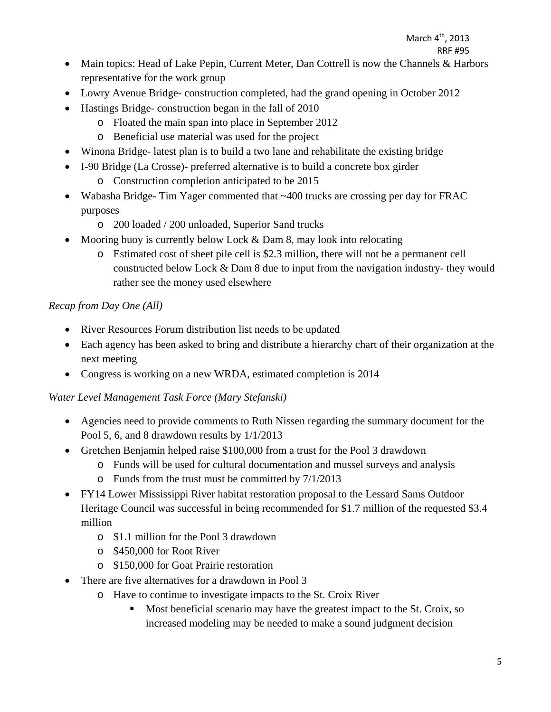March 4<sup>th</sup>, 2013

RRF #95

- Main topics: Head of Lake Pepin, Current Meter, Dan Cottrell is now the Channels & Harbors representative for the work group
- Lowry Avenue Bridge- construction completed, had the grand opening in October 2012
- Hastings Bridge- construction began in the fall of 2010
	- o Floated the main span into place in September 2012
	- o Beneficial use material was used for the project
- Winona Bridge- latest plan is to build a two lane and rehabilitate the existing bridge
- I-90 Bridge (La Crosse)- preferred alternative is to build a concrete box girder
	- o Construction completion anticipated to be 2015
- Wabasha Bridge- Tim Yager commented that ~400 trucks are crossing per day for FRAC purposes
	- o 200 loaded / 200 unloaded, Superior Sand trucks
- Mooring buoy is currently below Lock  $&$  Dam 8, may look into relocating
	- o Estimated cost of sheet pile cell is \$2.3 million, there will not be a permanent cell constructed below Lock & Dam 8 due to input from the navigation industry- they would rather see the money used elsewhere

## *Recap from Day One (All)*

- River Resources Forum distribution list needs to be updated
- Each agency has been asked to bring and distribute a hierarchy chart of their organization at the next meeting
- Congress is working on a new WRDA, estimated completion is 2014

### *Water Level Management Task Force (Mary Stefanski)*

- Agencies need to provide comments to Ruth Nissen regarding the summary document for the Pool 5, 6, and 8 drawdown results by 1/1/2013
- Gretchen Benjamin helped raise \$100,000 from a trust for the Pool 3 drawdown
	- o Funds will be used for cultural documentation and mussel surveys and analysis
	- o Funds from the trust must be committed by 7/1/2013
- FY14 Lower Mississippi River habitat restoration proposal to the Lessard Sams Outdoor Heritage Council was successful in being recommended for \$1.7 million of the requested \$3.4 million
	- o \$1.1 million for the Pool 3 drawdown
	- o \$450,000 for Root River
	- o \$150,000 for Goat Prairie restoration
- There are five alternatives for a drawdown in Pool 3
	- o Have to continue to investigate impacts to the St. Croix River
		- Most beneficial scenario may have the greatest impact to the St. Croix, so increased modeling may be needed to make a sound judgment decision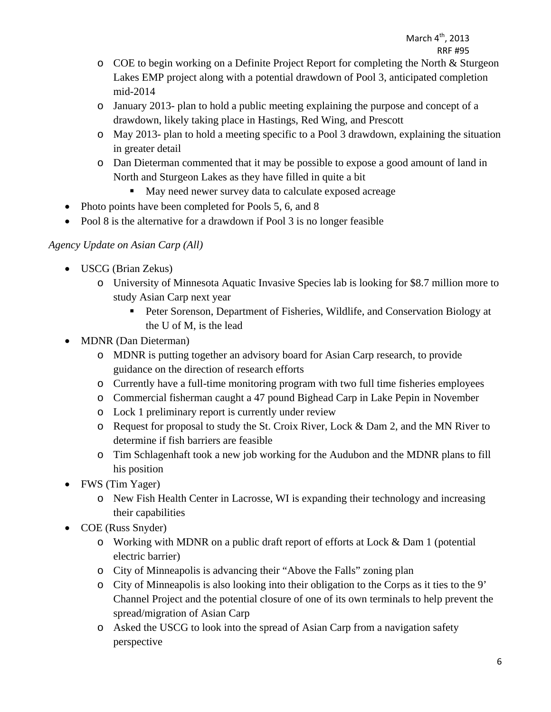- o COE to begin working on a Definite Project Report for completing the North & Sturgeon Lakes EMP project along with a potential drawdown of Pool 3, anticipated completion mid-2014
- o January 2013- plan to hold a public meeting explaining the purpose and concept of a drawdown, likely taking place in Hastings, Red Wing, and Prescott
- o May 2013- plan to hold a meeting specific to a Pool 3 drawdown, explaining the situation in greater detail
- o Dan Dieterman commented that it may be possible to expose a good amount of land in North and Sturgeon Lakes as they have filled in quite a bit
	- May need newer survey data to calculate exposed acreage
- Photo points have been completed for Pools 5, 6, and 8
- Pool 8 is the alternative for a drawdown if Pool 3 is no longer feasible

### *Agency Update on Asian Carp (All)*

- USCG (Brian Zekus)
	- o University of Minnesota Aquatic Invasive Species lab is looking for \$8.7 million more to study Asian Carp next year
		- **Peter Sorenson, Department of Fisheries, Wildlife, and Conservation Biology at** the U of M, is the lead
- MDNR (Dan Dieterman)
	- o MDNR is putting together an advisory board for Asian Carp research, to provide guidance on the direction of research efforts
	- o Currently have a full-time monitoring program with two full time fisheries employees
	- o Commercial fisherman caught a 47 pound Bighead Carp in Lake Pepin in November
	- o Lock 1 preliminary report is currently under review
	- o Request for proposal to study the St. Croix River, Lock & Dam 2, and the MN River to determine if fish barriers are feasible
	- o Tim Schlagenhaft took a new job working for the Audubon and the MDNR plans to fill his position
- FWS (Tim Yager)
	- o New Fish Health Center in Lacrosse, WI is expanding their technology and increasing their capabilities
- COE (Russ Snyder)
	- o Working with MDNR on a public draft report of efforts at Lock & Dam 1 (potential electric barrier)
	- o City of Minneapolis is advancing their "Above the Falls" zoning plan
	- o City of Minneapolis is also looking into their obligation to the Corps as it ties to the 9' Channel Project and the potential closure of one of its own terminals to help prevent the spread/migration of Asian Carp
	- o Asked the USCG to look into the spread of Asian Carp from a navigation safety perspective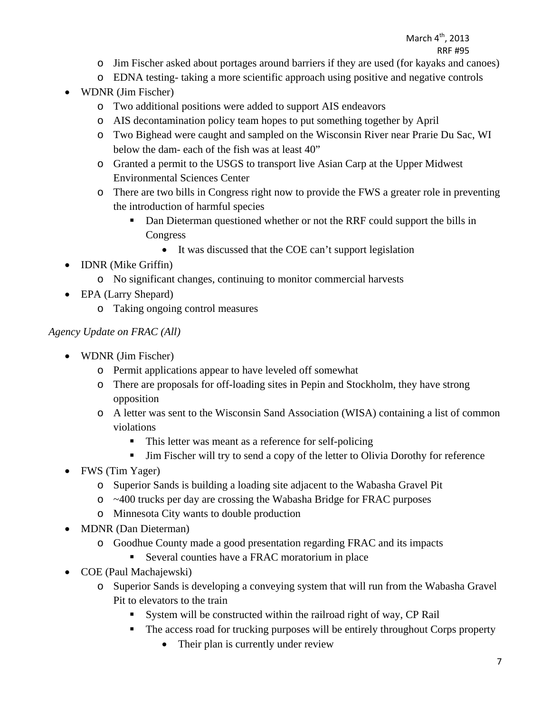#### March 4<sup>th</sup>, 2013 RRF #95

- o Jim Fischer asked about portages around barriers if they are used (for kayaks and canoes)
- o EDNA testing- taking a more scientific approach using positive and negative controls
- WDNR (Jim Fischer)
	- o Two additional positions were added to support AIS endeavors
	- o AIS decontamination policy team hopes to put something together by April
	- o Two Bighead were caught and sampled on the Wisconsin River near Prarie Du Sac, WI below the dam- each of the fish was at least 40"
	- o Granted a permit to the USGS to transport live Asian Carp at the Upper Midwest Environmental Sciences Center
	- o There are two bills in Congress right now to provide the FWS a greater role in preventing the introduction of harmful species
		- Dan Dieterman questioned whether or not the RRF could support the bills in Congress
			- It was discussed that the COE can't support legislation
- **IDNR** (Mike Griffin)
	- o No significant changes, continuing to monitor commercial harvests
- EPA (Larry Shepard)
	- o Taking ongoing control measures

## *Agency Update on FRAC (All)*

- WDNR (Jim Fischer)
	- o Permit applications appear to have leveled off somewhat
	- o There are proposals for off-loading sites in Pepin and Stockholm, they have strong opposition
	- o A letter was sent to the Wisconsin Sand Association (WISA) containing a list of common violations
		- This letter was meant as a reference for self-policing
		- Jim Fischer will try to send a copy of the letter to Olivia Dorothy for reference
- FWS (Tim Yager)
	- o Superior Sands is building a loading site adjacent to the Wabasha Gravel Pit
	- o ~400 trucks per day are crossing the Wabasha Bridge for FRAC purposes
	- o Minnesota City wants to double production
- MDNR (Dan Dieterman)
	- o Goodhue County made a good presentation regarding FRAC and its impacts
		- Several counties have a FRAC moratorium in place
- COE (Paul Machajewski)
	- o Superior Sands is developing a conveying system that will run from the Wabasha Gravel Pit to elevators to the train
		- System will be constructed within the railroad right of way, CP Rail
		- The access road for trucking purposes will be entirely throughout Corps property
			- Their plan is currently under review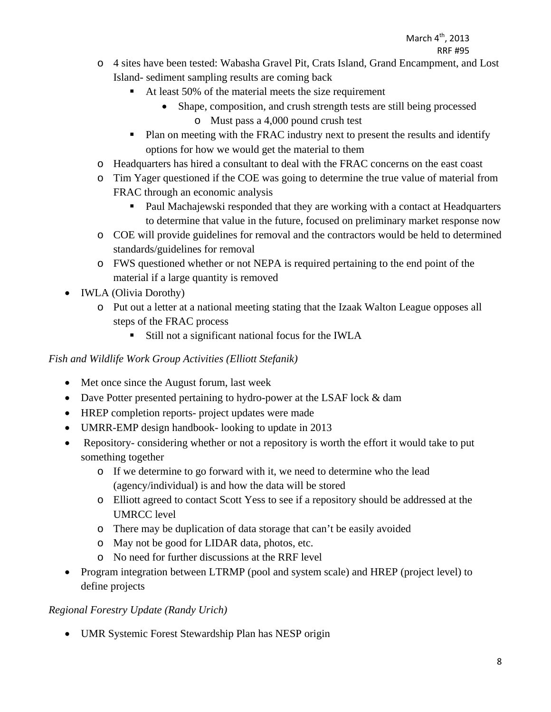- o 4 sites have been tested: Wabasha Gravel Pit, Crats Island, Grand Encampment, and Lost Island- sediment sampling results are coming back
	- At least 50% of the material meets the size requirement
		- Shape, composition, and crush strength tests are still being processed o Must pass a 4,000 pound crush test
	- Plan on meeting with the FRAC industry next to present the results and identify options for how we would get the material to them
- o Headquarters has hired a consultant to deal with the FRAC concerns on the east coast
- o Tim Yager questioned if the COE was going to determine the true value of material from FRAC through an economic analysis
	- Paul Machajewski responded that they are working with a contact at Headquarters to determine that value in the future, focused on preliminary market response now
- o COE will provide guidelines for removal and the contractors would be held to determined standards/guidelines for removal
- o FWS questioned whether or not NEPA is required pertaining to the end point of the material if a large quantity is removed
- IWLA (Olivia Dorothy)
	- o Put out a letter at a national meeting stating that the Izaak Walton League opposes all steps of the FRAC process
		- Still not a significant national focus for the IWLA

# *Fish and Wildlife Work Group Activities (Elliott Stefanik)*

- Met once since the August forum, last week
- Dave Potter presented pertaining to hydro-power at the LSAF lock & dam
- HREP completion reports- project updates were made
- UMRR-EMP design handbook- looking to update in 2013
- Repository- considering whether or not a repository is worth the effort it would take to put something together
	- o If we determine to go forward with it, we need to determine who the lead (agency/individual) is and how the data will be stored
	- o Elliott agreed to contact Scott Yess to see if a repository should be addressed at the UMRCC level
	- o There may be duplication of data storage that can't be easily avoided
	- o May not be good for LIDAR data, photos, etc.
	- o No need for further discussions at the RRF level
- Program integration between LTRMP (pool and system scale) and HREP (project level) to define projects

# *Regional Forestry Update (Randy Urich)*

UMR Systemic Forest Stewardship Plan has NESP origin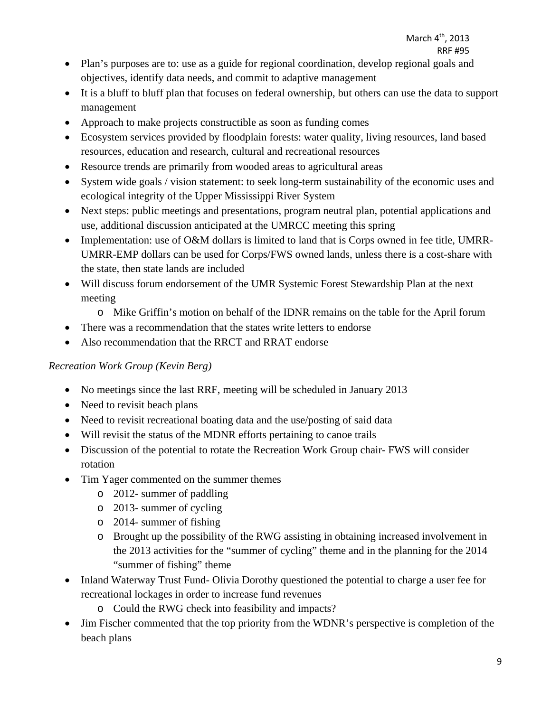- Plan's purposes are to: use as a guide for regional coordination, develop regional goals and objectives, identify data needs, and commit to adaptive management
- It is a bluff to bluff plan that focuses on federal ownership, but others can use the data to support management
- Approach to make projects constructible as soon as funding comes
- Ecosystem services provided by floodplain forests: water quality, living resources, land based resources, education and research, cultural and recreational resources
- Resource trends are primarily from wooded areas to agricultural areas
- System wide goals / vision statement: to seek long-term sustainability of the economic uses and ecological integrity of the Upper Mississippi River System
- Next steps: public meetings and presentations, program neutral plan, potential applications and use, additional discussion anticipated at the UMRCC meeting this spring
- Implementation: use of O&M dollars is limited to land that is Corps owned in fee title, UMRR-UMRR-EMP dollars can be used for Corps/FWS owned lands, unless there is a cost-share with the state, then state lands are included
- Will discuss forum endorsement of the UMR Systemic Forest Stewardship Plan at the next meeting
	- o Mike Griffin's motion on behalf of the IDNR remains on the table for the April forum
- There was a recommendation that the states write letters to endorse
- Also recommendation that the RRCT and RRAT endorse

### *Recreation Work Group (Kevin Berg)*

- No meetings since the last RRF, meeting will be scheduled in January 2013
- Need to revisit beach plans
- Need to revisit recreational boating data and the use/posting of said data
- Will revisit the status of the MDNR efforts pertaining to canoe trails
- Discussion of the potential to rotate the Recreation Work Group chair- FWS will consider rotation
- Tim Yager commented on the summer themes
	- o 2012- summer of paddling
	- o 2013- summer of cycling
	- o 2014- summer of fishing
	- o Brought up the possibility of the RWG assisting in obtaining increased involvement in the 2013 activities for the "summer of cycling" theme and in the planning for the 2014 "summer of fishing" theme
- Inland Waterway Trust Fund-Olivia Dorothy questioned the potential to charge a user fee for recreational lockages in order to increase fund revenues
	- o Could the RWG check into feasibility and impacts?
- Jim Fischer commented that the top priority from the WDNR's perspective is completion of the beach plans